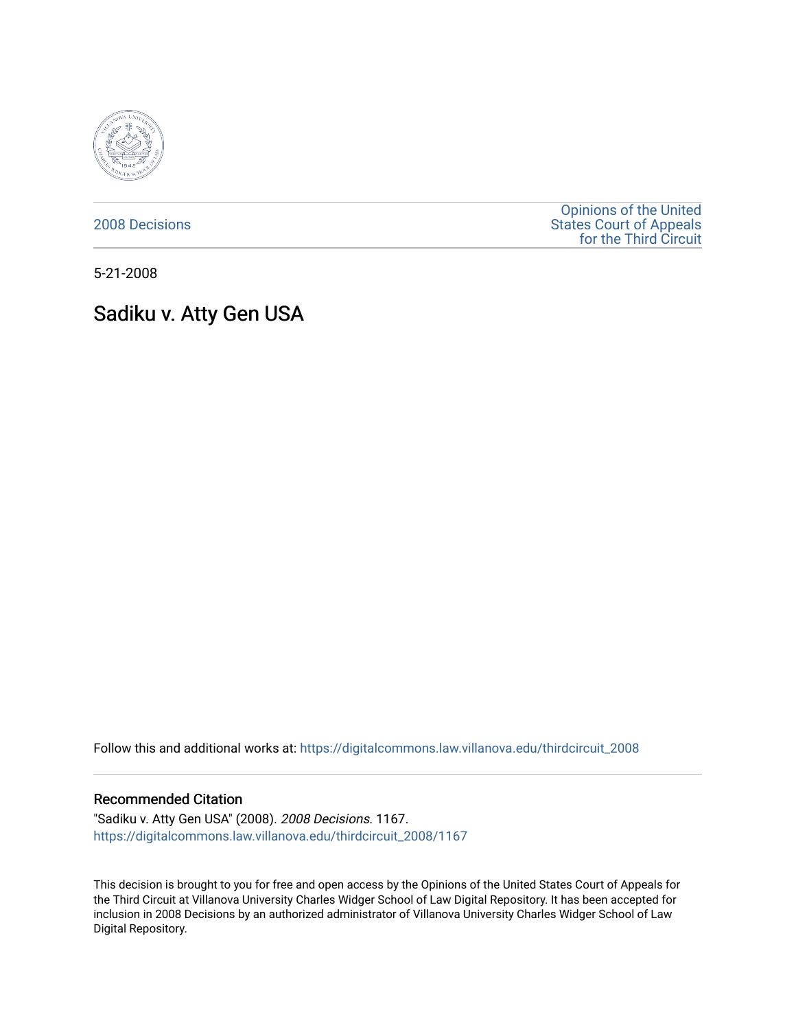

[2008 Decisions](https://digitalcommons.law.villanova.edu/thirdcircuit_2008)

[Opinions of the United](https://digitalcommons.law.villanova.edu/thirdcircuit)  [States Court of Appeals](https://digitalcommons.law.villanova.edu/thirdcircuit)  [for the Third Circuit](https://digitalcommons.law.villanova.edu/thirdcircuit) 

5-21-2008

# Sadiku v. Atty Gen USA

Follow this and additional works at: [https://digitalcommons.law.villanova.edu/thirdcircuit\\_2008](https://digitalcommons.law.villanova.edu/thirdcircuit_2008?utm_source=digitalcommons.law.villanova.edu%2Fthirdcircuit_2008%2F1167&utm_medium=PDF&utm_campaign=PDFCoverPages) 

### Recommended Citation

"Sadiku v. Atty Gen USA" (2008). 2008 Decisions. 1167. [https://digitalcommons.law.villanova.edu/thirdcircuit\\_2008/1167](https://digitalcommons.law.villanova.edu/thirdcircuit_2008/1167?utm_source=digitalcommons.law.villanova.edu%2Fthirdcircuit_2008%2F1167&utm_medium=PDF&utm_campaign=PDFCoverPages) 

This decision is brought to you for free and open access by the Opinions of the United States Court of Appeals for the Third Circuit at Villanova University Charles Widger School of Law Digital Repository. It has been accepted for inclusion in 2008 Decisions by an authorized administrator of Villanova University Charles Widger School of Law Digital Repository.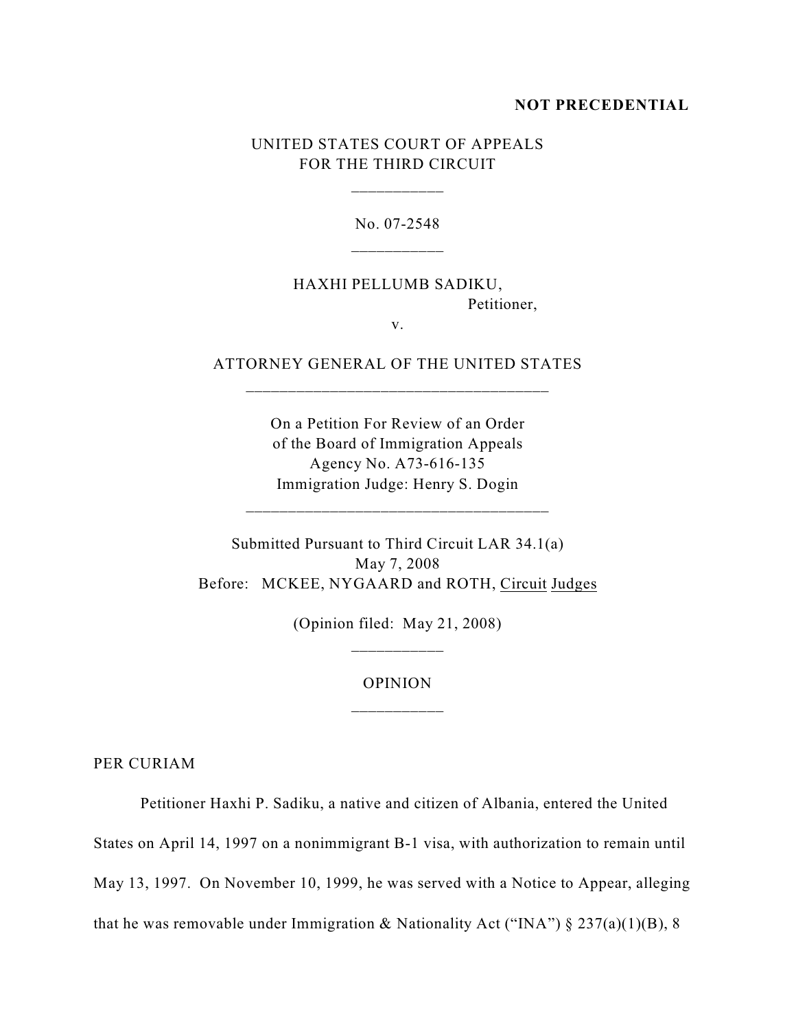#### **NOT PRECEDENTIAL**

## UNITED STATES COURT OF APPEALS FOR THE THIRD CIRCUIT

\_\_\_\_\_\_\_\_\_\_\_

No. 07-2548

## HAXHI PELLUMB SADIKU, Petitioner,

v.

## ATTORNEY GENERAL OF THE UNITED STATES \_\_\_\_\_\_\_\_\_\_\_\_\_\_\_\_\_\_\_\_\_\_\_\_\_\_\_\_\_\_\_\_\_\_\_\_

On a Petition For Review of an Order of the Board of Immigration Appeals Agency No. A73-616-135 Immigration Judge: Henry S. Dogin

\_\_\_\_\_\_\_\_\_\_\_\_\_\_\_\_\_\_\_\_\_\_\_\_\_\_\_\_\_\_\_\_\_\_\_\_

Submitted Pursuant to Third Circuit LAR 34.1(a) May 7, 2008 Before: MCKEE, NYGAARD and ROTH, Circuit Judges

> (Opinion filed: May 21, 2008) \_\_\_\_\_\_\_\_\_\_\_

#### OPINION

PER CURIAM

Petitioner Haxhi P. Sadiku, a native and citizen of Albania, entered the United

States on April 14, 1997 on a nonimmigrant B-1 visa, with authorization to remain until

May 13, 1997. On November 10, 1999, he was served with a Notice to Appear, alleging

that he was removable under Immigration & Nationality Act ("INA")  $\S 237(a)(1)(B)$ , 8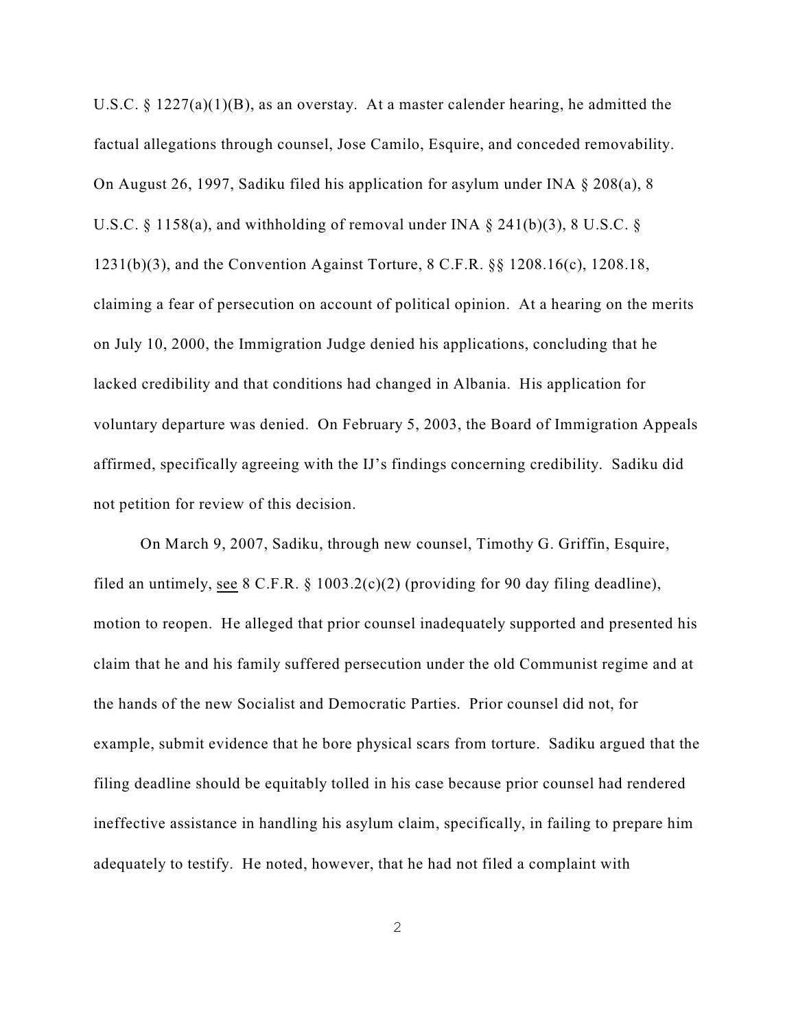U.S.C. § 1227(a)(1)(B), as an overstay. At a master calender hearing, he admitted the factual allegations through counsel, Jose Camilo, Esquire, and conceded removability. On August 26, 1997, Sadiku filed his application for asylum under INA § 208(a), 8 U.S.C. § 1158(a), and withholding of removal under INA § 241(b)(3), 8 U.S.C. § 1231(b)(3), and the Convention Against Torture, 8 C.F.R. §§ 1208.16(c), 1208.18, claiming a fear of persecution on account of political opinion. At a hearing on the merits on July 10, 2000, the Immigration Judge denied his applications, concluding that he lacked credibility and that conditions had changed in Albania. His application for voluntary departure was denied. On February 5, 2003, the Board of Immigration Appeals affirmed, specifically agreeing with the IJ's findings concerning credibility. Sadiku did not petition for review of this decision.

On March 9, 2007, Sadiku, through new counsel, Timothy G. Griffin, Esquire, filed an untimely, see  $8 \text{ C.F.R. } § 1003.2(c)(2)$  (providing for 90 day filing deadline), motion to reopen. He alleged that prior counsel inadequately supported and presented his claim that he and his family suffered persecution under the old Communist regime and at the hands of the new Socialist and Democratic Parties. Prior counsel did not, for example, submit evidence that he bore physical scars from torture. Sadiku argued that the filing deadline should be equitably tolled in his case because prior counsel had rendered ineffective assistance in handling his asylum claim, specifically, in failing to prepare him adequately to testify. He noted, however, that he had not filed a complaint with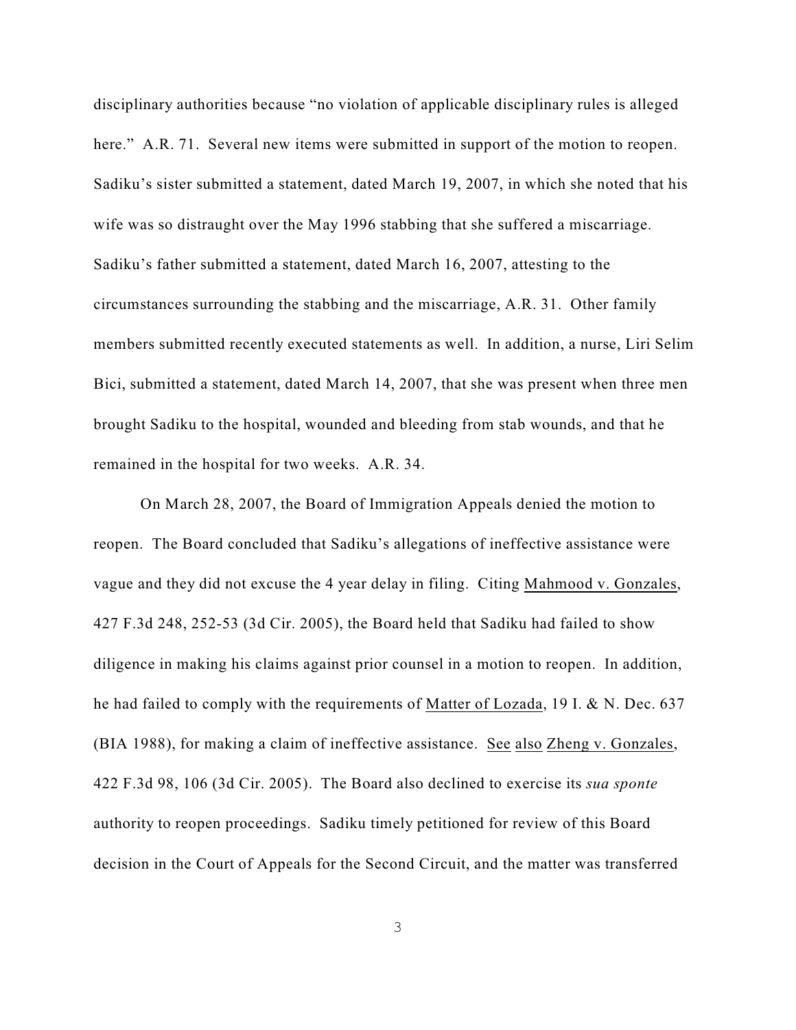disciplinary authorities because "no violation of applicable disciplinary rules is alleged here." A.R. 71. Several new items were submitted in support of the motion to reopen. Sadiku's sister submitted a statement, dated March 19, 2007, in which she noted that his wife was so distraught over the May 1996 stabbing that she suffered a miscarriage. Sadiku's father submitted a statement, dated March 16, 2007, attesting to the circumstances surrounding the stabbing and the miscarriage, A.R. 31. Other family members submitted recently executed statements as well. In addition, a nurse, Liri Selim Bici, submitted a statement, dated March 14, 2007, that she was present when three men brought Sadiku to the hospital, wounded and bleeding from stab wounds, and that he remained in the hospital for two weeks. A.R. 34.

On March 28, 2007, the Board of Immigration Appeals denied the motion to reopen. The Board concluded that Sadiku's allegations of ineffective assistance were vague and they did not excuse the 4 year delay in filing. Citing Mahmood v. Gonzales, 427 F.3d 248, 252-53 (3d Cir. 2005), the Board held that Sadiku had failed to show diligence in making his claims against prior counsel in a motion to reopen. In addition, he had failed to comply with the requirements of Matter of Lozada, 19 I. & N. Dec. 637 (BIA 1988), for making a claim of ineffective assistance. See also Zheng v. Gonzales, 422 F.3d 98, 106 (3d Cir. 2005). The Board also declined to exercise its *sua sponte* authority to reopen proceedings. Sadiku timely petitioned for review of this Board decision in the Court of Appeals for the Second Circuit, and the matter was transferred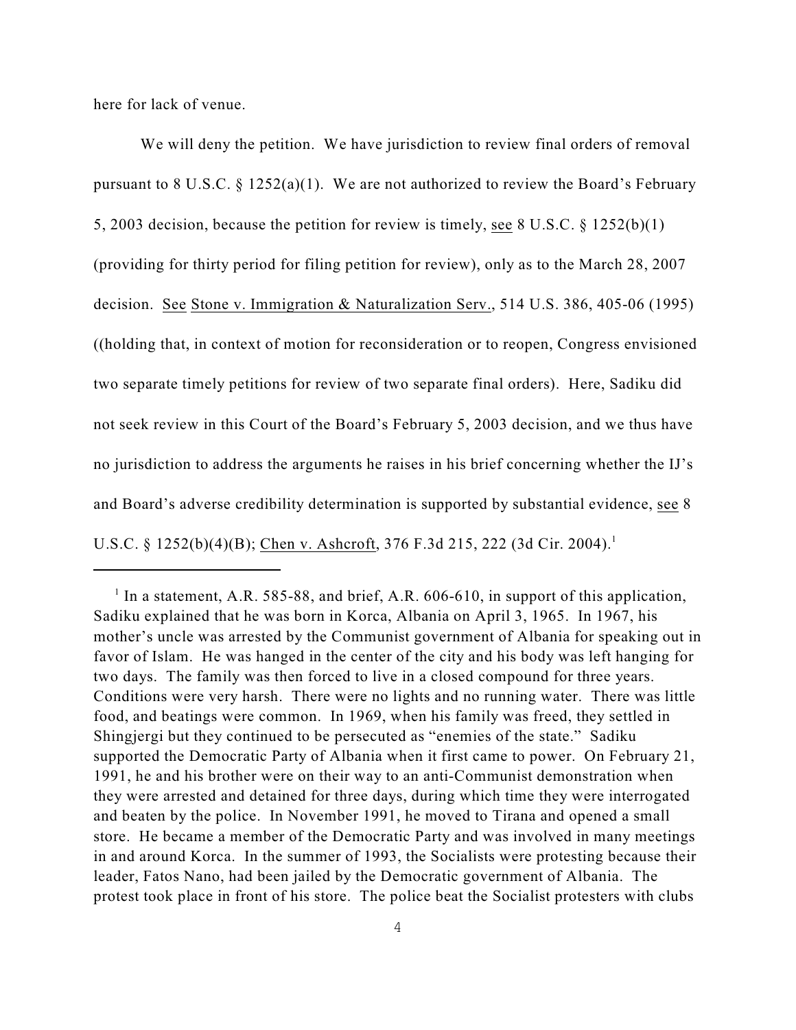here for lack of venue.

We will deny the petition. We have jurisdiction to review final orders of removal pursuant to 8 U.S.C.  $\S 1252(a)(1)$ . We are not authorized to review the Board's February 5, 2003 decision, because the petition for review is timely, see 8 U.S.C. § 1252(b)(1) (providing for thirty period for filing petition for review), only as to the March 28, 2007 decision. See Stone v. Immigration & Naturalization Serv., 514 U.S. 386, 405-06 (1995) ((holding that, in context of motion for reconsideration or to reopen, Congress envisioned two separate timely petitions for review of two separate final orders). Here, Sadiku did not seek review in this Court of the Board's February 5, 2003 decision, and we thus have no jurisdiction to address the arguments he raises in his brief concerning whether the IJ's and Board's adverse credibility determination is supported by substantial evidence, see 8 U.S.C. § 1252(b)(4)(B); Chen v. Ashcroft, 376 F.3d 215, 222 (3d Cir. 2004).<sup>1</sup>

<sup>&</sup>lt;sup>1</sup> In a statement, A.R. 585-88, and brief, A.R. 606-610, in support of this application, Sadiku explained that he was born in Korca, Albania on April 3, 1965. In 1967, his mother's uncle was arrested by the Communist government of Albania for speaking out in favor of Islam. He was hanged in the center of the city and his body was left hanging for two days. The family was then forced to live in a closed compound for three years. Conditions were very harsh. There were no lights and no running water. There was little food, and beatings were common. In 1969, when his family was freed, they settled in Shingjergi but they continued to be persecuted as "enemies of the state." Sadiku supported the Democratic Party of Albania when it first came to power. On February 21, 1991, he and his brother were on their way to an anti-Communist demonstration when they were arrested and detained for three days, during which time they were interrogated and beaten by the police. In November 1991, he moved to Tirana and opened a small store. He became a member of the Democratic Party and was involved in many meetings in and around Korca. In the summer of 1993, the Socialists were protesting because their leader, Fatos Nano, had been jailed by the Democratic government of Albania. The protest took place in front of his store. The police beat the Socialist protesters with clubs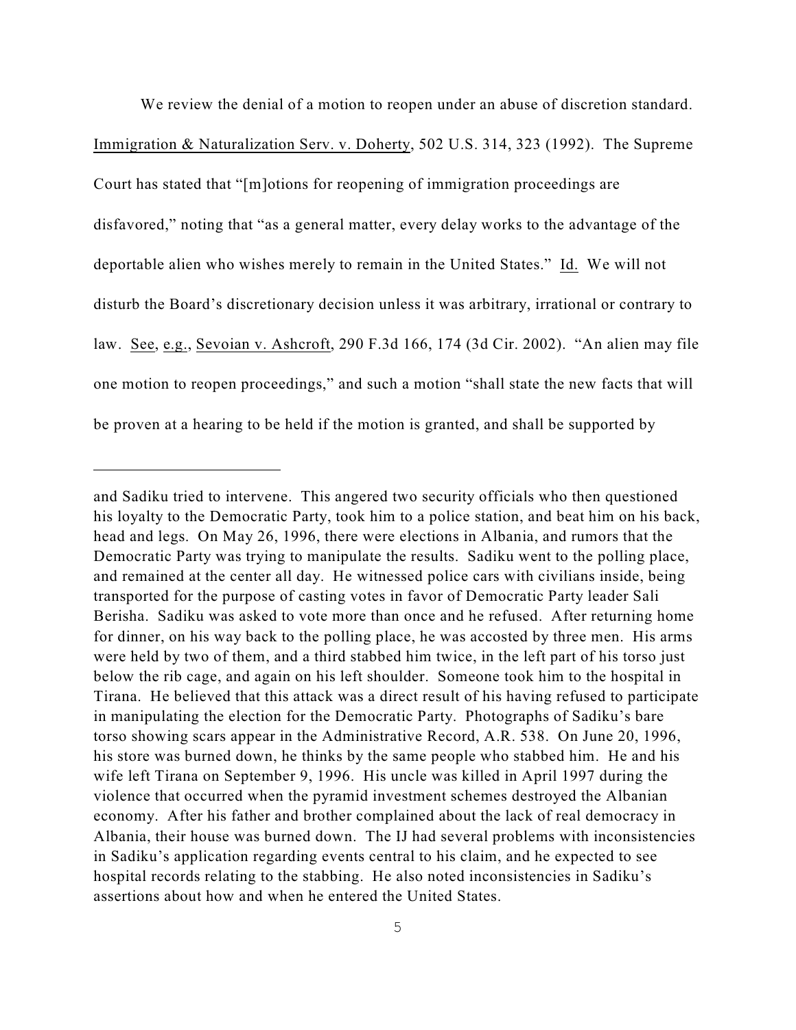We review the denial of a motion to reopen under an abuse of discretion standard. Immigration & Naturalization Serv. v. Doherty, 502 U.S. 314, 323 (1992). The Supreme Court has stated that "[m]otions for reopening of immigration proceedings are disfavored," noting that "as a general matter, every delay works to the advantage of the deportable alien who wishes merely to remain in the United States." Id. We will not disturb the Board's discretionary decision unless it was arbitrary, irrational or contrary to law. See, e.g., Sevoian v. Ashcroft, 290 F.3d 166, 174 (3d Cir. 2002). "An alien may file one motion to reopen proceedings," and such a motion "shall state the new facts that will be proven at a hearing to be held if the motion is granted, and shall be supported by

and Sadiku tried to intervene. This angered two security officials who then questioned his loyalty to the Democratic Party, took him to a police station, and beat him on his back, head and legs. On May 26, 1996, there were elections in Albania, and rumors that the Democratic Party was trying to manipulate the results. Sadiku went to the polling place, and remained at the center all day. He witnessed police cars with civilians inside, being transported for the purpose of casting votes in favor of Democratic Party leader Sali Berisha. Sadiku was asked to vote more than once and he refused. After returning home for dinner, on his way back to the polling place, he was accosted by three men. His arms were held by two of them, and a third stabbed him twice, in the left part of his torso just below the rib cage, and again on his left shoulder. Someone took him to the hospital in Tirana. He believed that this attack was a direct result of his having refused to participate in manipulating the election for the Democratic Party. Photographs of Sadiku's bare torso showing scars appear in the Administrative Record, A.R. 538. On June 20, 1996, his store was burned down, he thinks by the same people who stabbed him. He and his wife left Tirana on September 9, 1996. His uncle was killed in April 1997 during the violence that occurred when the pyramid investment schemes destroyed the Albanian economy. After his father and brother complained about the lack of real democracy in Albania, their house was burned down. The IJ had several problems with inconsistencies in Sadiku's application regarding events central to his claim, and he expected to see hospital records relating to the stabbing. He also noted inconsistencies in Sadiku's assertions about how and when he entered the United States.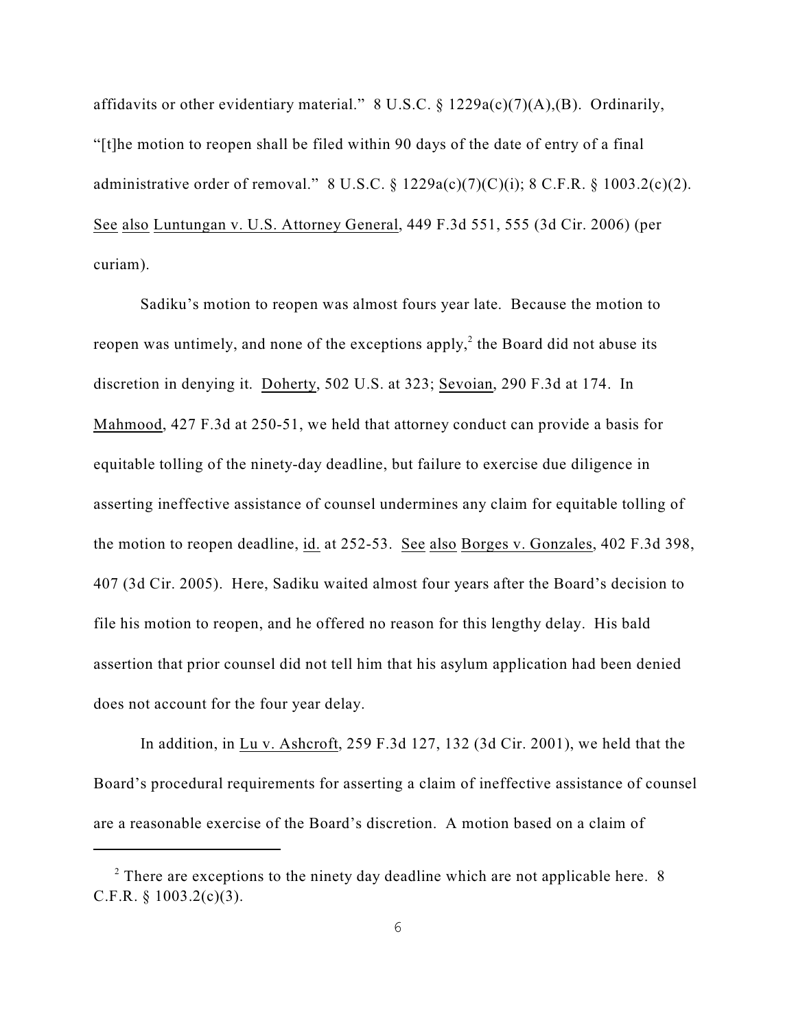affidavits or other evidentiary material." 8 U.S.C. § 1229a(c)(7)(A),(B). Ordinarily, "[t]he motion to reopen shall be filed within 90 days of the date of entry of a final administrative order of removal." 8 U.S.C. § 1229a(c)(7)(C)(i); 8 C.F.R. § 1003.2(c)(2). See also Luntungan v. U.S. Attorney General, 449 F.3d 551, 555 (3d Cir. 2006) (per curiam).

Sadiku's motion to reopen was almost fours year late. Because the motion to reopen was untimely, and none of the exceptions apply, $\lambda^2$  the Board did not abuse its discretion in denying it. Doherty, 502 U.S. at 323; Sevoian, 290 F.3d at 174. In Mahmood, 427 F.3d at 250-51, we held that attorney conduct can provide a basis for equitable tolling of the ninety-day deadline, but failure to exercise due diligence in asserting ineffective assistance of counsel undermines any claim for equitable tolling of the motion to reopen deadline, id. at 252-53. See also Borges v. Gonzales, 402 F.3d 398, 407 (3d Cir. 2005). Here, Sadiku waited almost four years after the Board's decision to file his motion to reopen, and he offered no reason for this lengthy delay. His bald assertion that prior counsel did not tell him that his asylum application had been denied does not account for the four year delay.

In addition, in Lu v. Ashcroft, 259 F.3d 127, 132 (3d Cir. 2001), we held that the Board's procedural requirements for asserting a claim of ineffective assistance of counsel are a reasonable exercise of the Board's discretion. A motion based on a claim of

 $2$  There are exceptions to the ninety day deadline which are not applicable here. 8 C.F.R.  $§$  1003.2(c)(3).